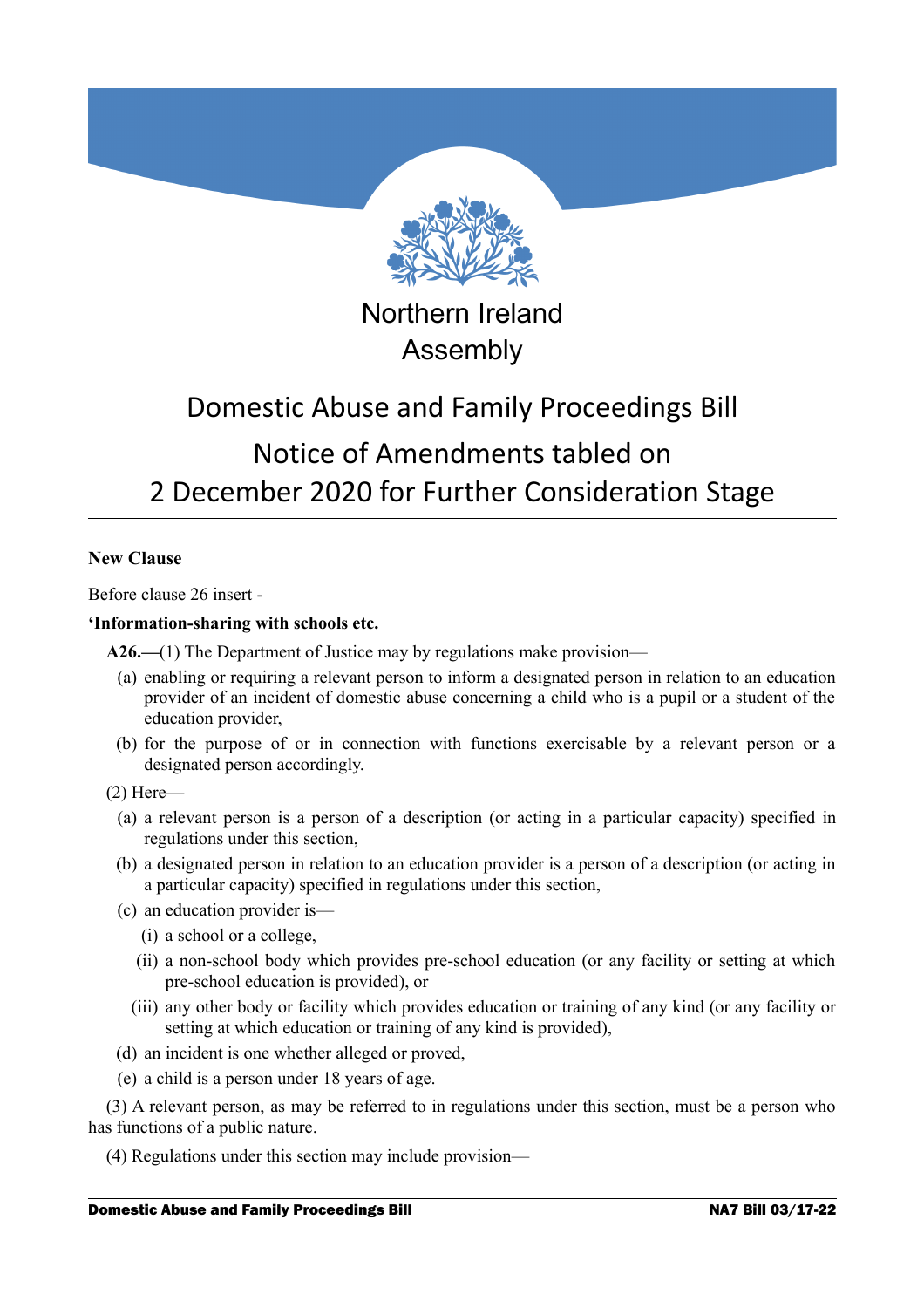

# Northern Ireland Assembly

# Domestic Abuse and Family Proceedings Bill Notice of Amendments tabled on 2 December 2020 for Further Consideration Stage

# **New Clause**

Before clause 26 insert -

# **'Information-sharing with schools etc.**

**A26.—**(1) The Department of Justice may by regulations make provision—

- (a) enabling or requiring a relevant person to inform a designated person in relation to an education provider of an incident of domestic abuse concerning a child who is a pupil or a student of the education provider,
- (b) for the purpose of or in connection with functions exercisable by a relevant person or a designated person accordingly.

 $(2)$  Here—

- (a) a relevant person is a person of a description (or acting in a particular capacity) specified in regulations under this section,
- (b) a designated person in relation to an education provider is a person of a description (or acting in a particular capacity) specified in regulations under this section,
- (c) an education provider is—
	- (i) a school or a college,
	- (ii) a non-school body which provides pre-school education (or any facility or setting at which pre-school education is provided), or
	- (iii) any other body or facility which provides education or training of any kind (or any facility or setting at which education or training of any kind is provided),
- (d) an incident is one whether alleged or proved,
- (e) a child is a person under 18 years of age.

(3) A relevant person, as may be referred to in regulations under this section, must be a person who has functions of a public nature.

(4) Regulations under this section may include provision—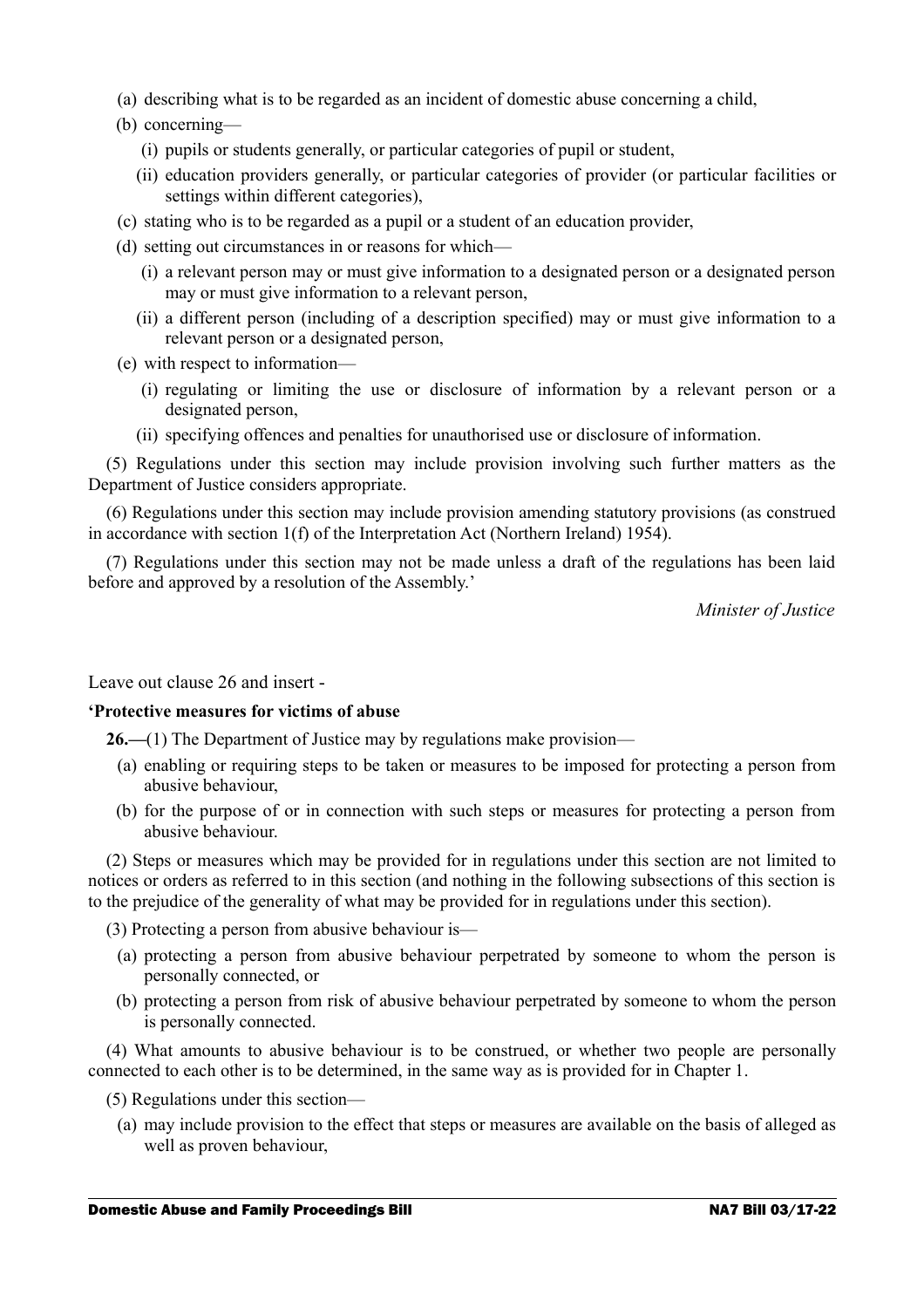- (a) describing what is to be regarded as an incident of domestic abuse concerning a child,
- (b) concerning—
	- (i) pupils or students generally, or particular categories of pupil or student,
	- (ii) education providers generally, or particular categories of provider (or particular facilities or settings within different categories),
- (c) stating who is to be regarded as a pupil or a student of an education provider,
- (d) setting out circumstances in or reasons for which—
	- (i) a relevant person may or must give information to a designated person or a designated person may or must give information to a relevant person,
	- (ii) a different person (including of a description specified) may or must give information to a relevant person or a designated person,
- (e) with respect to information—
	- (i) regulating or limiting the use or disclosure of information by a relevant person or a designated person,
	- (ii) specifying offences and penalties for unauthorised use or disclosure of information.

(5) Regulations under this section may include provision involving such further matters as the Department of Justice considers appropriate.

(6) Regulations under this section may include provision amending statutory provisions (as construed in accordance with section 1(f) of the Interpretation Act (Northern Ireland) 1954).

(7) Regulations under this section may not be made unless a draft of the regulations has been laid before and approved by a resolution of the Assembly.'

*Minister of Justice*

Leave out clause 26 and insert -

#### **'Protective measures for victims of abuse**

**26.—**(1) The Department of Justice may by regulations make provision—

- (a) enabling or requiring steps to be taken or measures to be imposed for protecting a person from abusive behaviour,
- (b) for the purpose of or in connection with such steps or measures for protecting a person from abusive behaviour.

(2) Steps or measures which may be provided for in regulations under this section are not limited to notices or orders as referred to in this section (and nothing in the following subsections of this section is to the prejudice of the generality of what may be provided for in regulations under this section).

(3) Protecting a person from abusive behaviour is—

- (a) protecting a person from abusive behaviour perpetrated by someone to whom the person is personally connected, or
- (b) protecting a person from risk of abusive behaviour perpetrated by someone to whom the person is personally connected.

(4) What amounts to abusive behaviour is to be construed, or whether two people are personally connected to each other is to be determined, in the same way as is provided for in Chapter 1.

(5) Regulations under this section—

(a) may include provision to the effect that steps or measures are available on the basis of alleged as well as proven behaviour,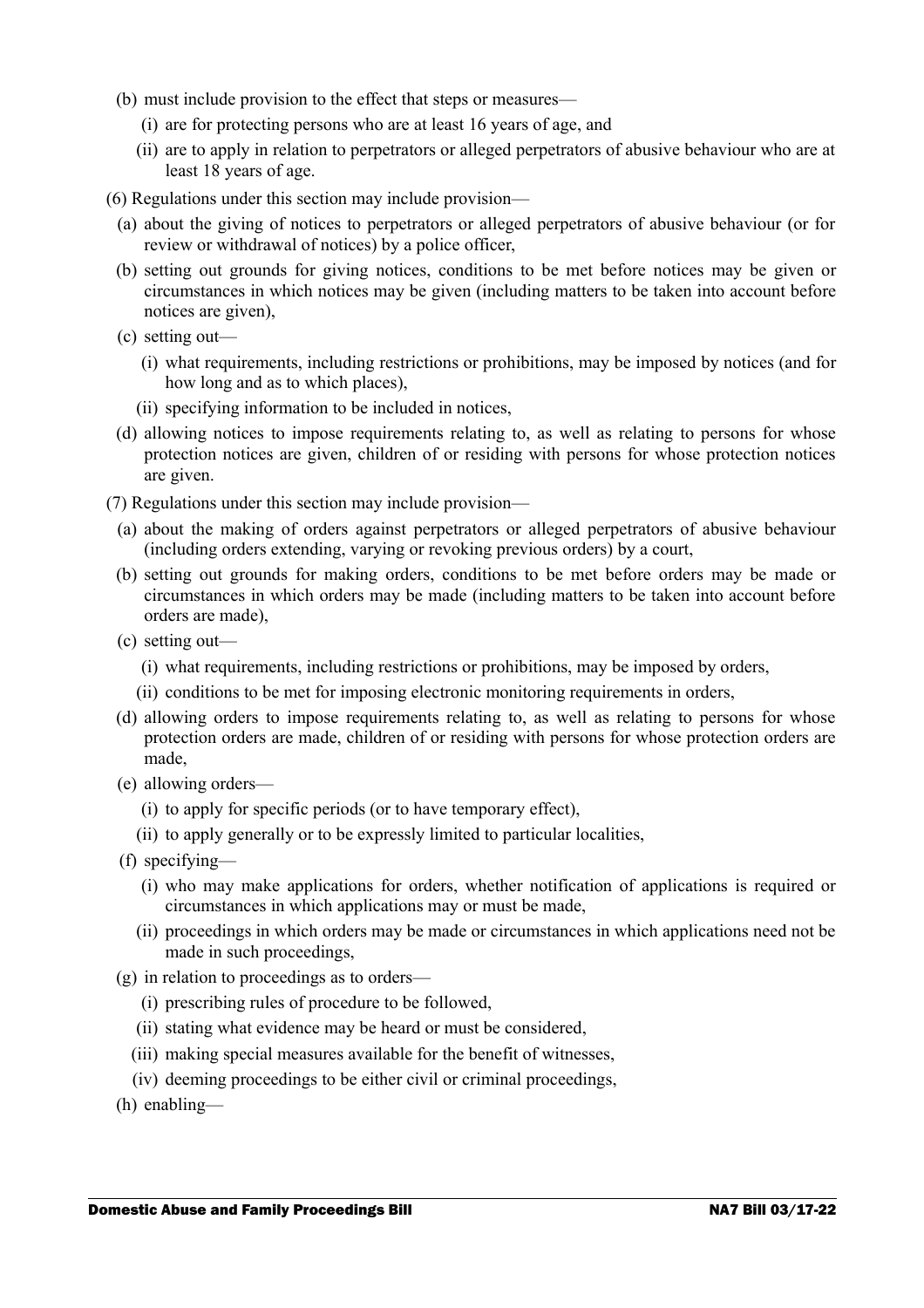- (b) must include provision to the effect that steps or measures—
	- (i) are for protecting persons who are at least 16 years of age, and
	- (ii) are to apply in relation to perpetrators or alleged perpetrators of abusive behaviour who are at least 18 years of age.
- (6) Regulations under this section may include provision—
	- (a) about the giving of notices to perpetrators or alleged perpetrators of abusive behaviour (or for review or withdrawal of notices) by a police officer,
	- (b) setting out grounds for giving notices, conditions to be met before notices may be given or circumstances in which notices may be given (including matters to be taken into account before notices are given),
	- (c) setting out—
		- (i) what requirements, including restrictions or prohibitions, may be imposed by notices (and for how long and as to which places),
		- (ii) specifying information to be included in notices,
	- (d) allowing notices to impose requirements relating to, as well as relating to persons for whose protection notices are given, children of or residing with persons for whose protection notices are given.

(7) Regulations under this section may include provision—

- (a) about the making of orders against perpetrators or alleged perpetrators of abusive behaviour (including orders extending, varying or revoking previous orders) by a court,
- (b) setting out grounds for making orders, conditions to be met before orders may be made or circumstances in which orders may be made (including matters to be taken into account before orders are made),
- (c) setting out—
	- (i) what requirements, including restrictions or prohibitions, may be imposed by orders,
	- (ii) conditions to be met for imposing electronic monitoring requirements in orders,
- (d) allowing orders to impose requirements relating to, as well as relating to persons for whose protection orders are made, children of or residing with persons for whose protection orders are made,
- (e) allowing orders—
	- (i) to apply for specific periods (or to have temporary effect),
	- (ii) to apply generally or to be expressly limited to particular localities,
- (f) specifying—
	- (i) who may make applications for orders, whether notification of applications is required or circumstances in which applications may or must be made,
	- (ii) proceedings in which orders may be made or circumstances in which applications need not be made in such proceedings,
- (g) in relation to proceedings as to orders—
	- (i) prescribing rules of procedure to be followed,
	- (ii) stating what evidence may be heard or must be considered,
	- (iii) making special measures available for the benefit of witnesses,
	- (iv) deeming proceedings to be either civil or criminal proceedings,
- (h) enabling—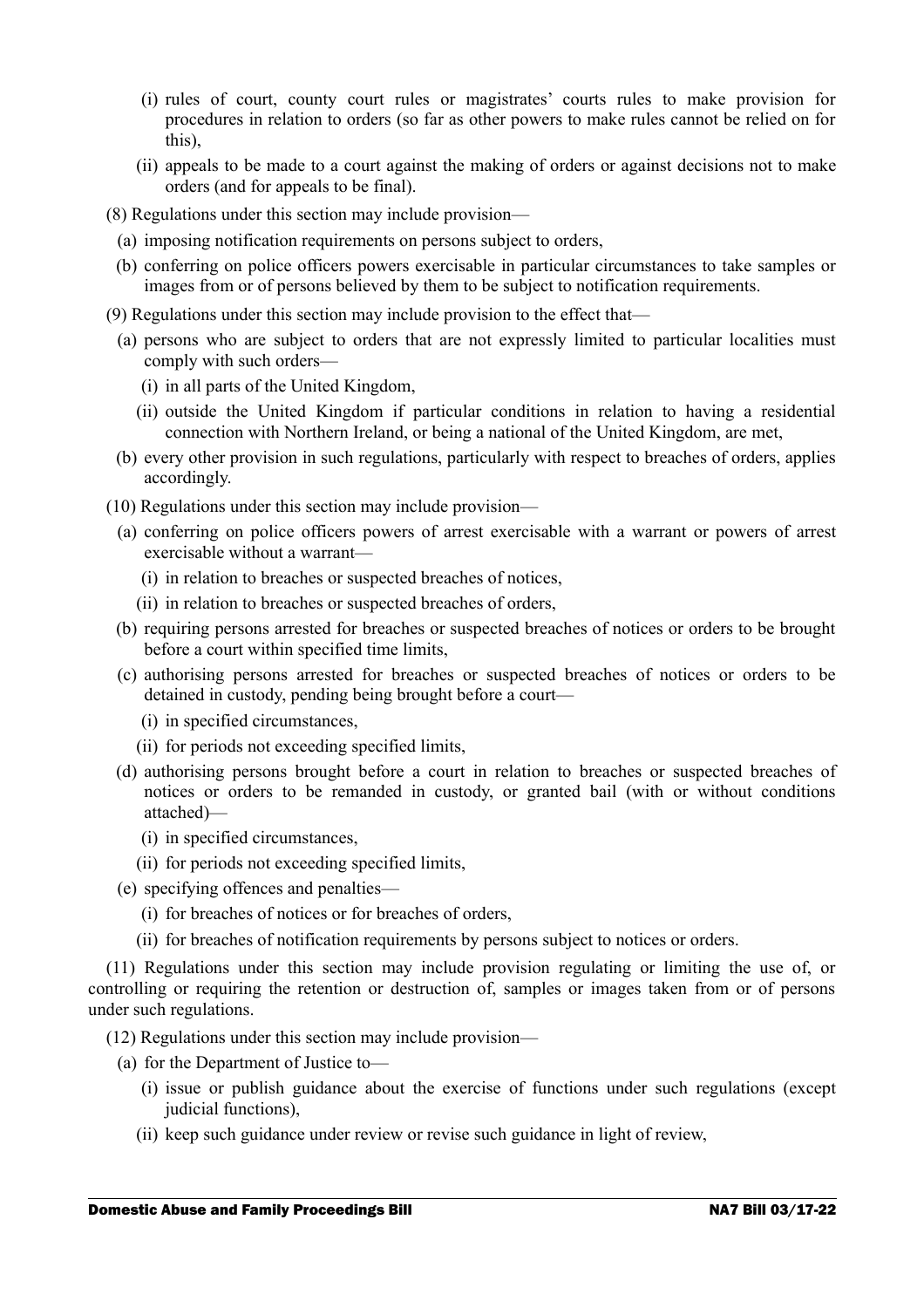- (i) rules of court, county court rules or magistrates' courts rules to make provision for procedures in relation to orders (so far as other powers to make rules cannot be relied on for this),
- (ii) appeals to be made to a court against the making of orders or against decisions not to make orders (and for appeals to be final).
- (8) Regulations under this section may include provision—
	- (a) imposing notification requirements on persons subject to orders,
	- (b) conferring on police officers powers exercisable in particular circumstances to take samples or images from or of persons believed by them to be subject to notification requirements.
- (9) Regulations under this section may include provision to the effect that—
	- (a) persons who are subject to orders that are not expressly limited to particular localities must comply with such orders—
		- (i) in all parts of the United Kingdom,
		- (ii) outside the United Kingdom if particular conditions in relation to having a residential connection with Northern Ireland, or being a national of the United Kingdom, are met,
	- (b) every other provision in such regulations, particularly with respect to breaches of orders, applies accordingly.
- (10) Regulations under this section may include provision—
	- (a) conferring on police officers powers of arrest exercisable with a warrant or powers of arrest exercisable without a warrant—
		- (i) in relation to breaches or suspected breaches of notices,
		- (ii) in relation to breaches or suspected breaches of orders,
	- (b) requiring persons arrested for breaches or suspected breaches of notices or orders to be brought before a court within specified time limits,
	- (c) authorising persons arrested for breaches or suspected breaches of notices or orders to be detained in custody, pending being brought before a court—
		- (i) in specified circumstances,
		- (ii) for periods not exceeding specified limits,
	- (d) authorising persons brought before a court in relation to breaches or suspected breaches of notices or orders to be remanded in custody, or granted bail (with or without conditions attached)—
		- (i) in specified circumstances,
		- (ii) for periods not exceeding specified limits,
	- (e) specifying offences and penalties—
		- (i) for breaches of notices or for breaches of orders,
		- (ii) for breaches of notification requirements by persons subject to notices or orders.

(11) Regulations under this section may include provision regulating or limiting the use of, or controlling or requiring the retention or destruction of, samples or images taken from or of persons under such regulations.

(12) Regulations under this section may include provision—

- (a) for the Department of Justice to—
	- (i) issue or publish guidance about the exercise of functions under such regulations (except judicial functions),
	- (ii) keep such guidance under review or revise such guidance in light of review,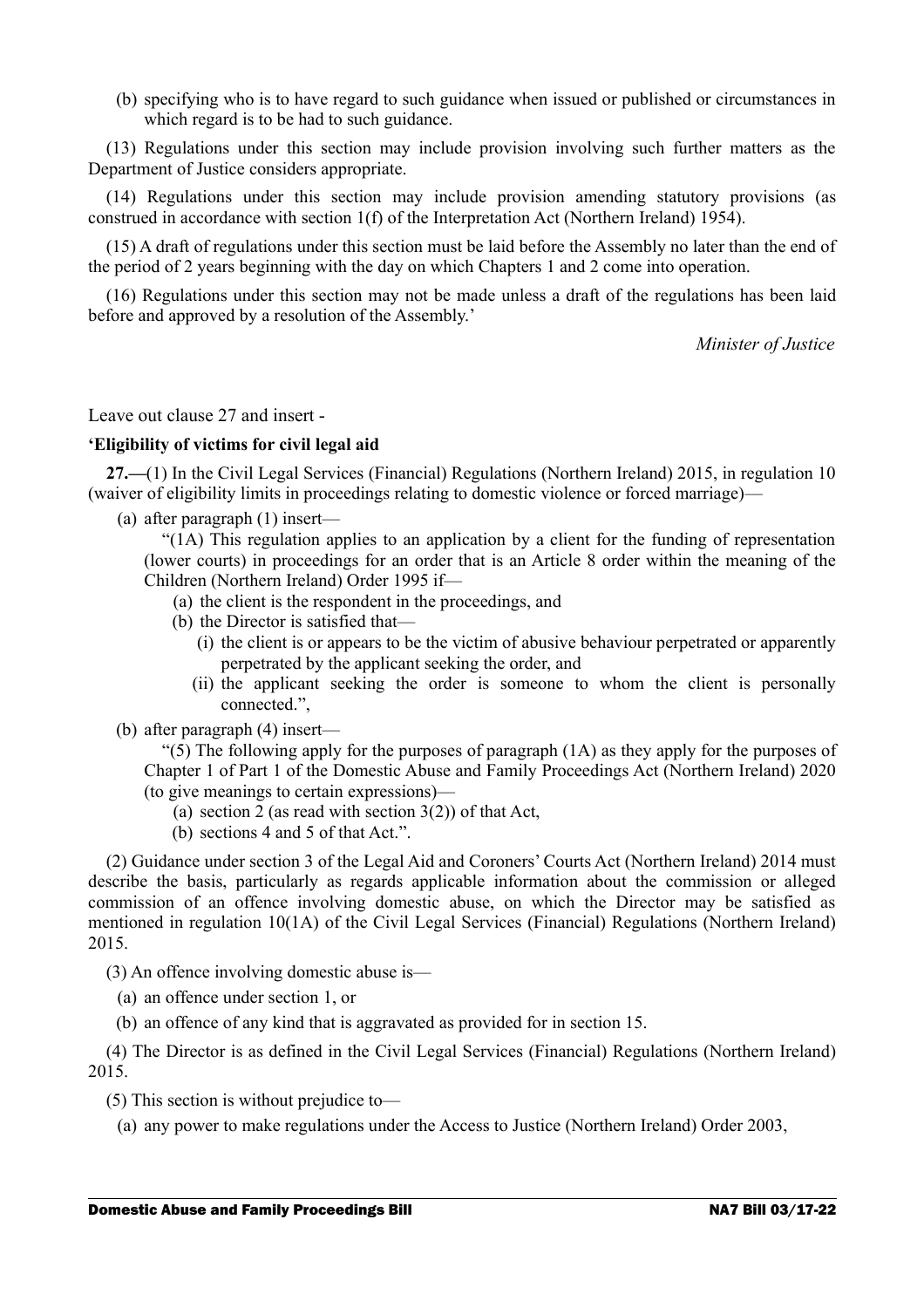(b) specifying who is to have regard to such guidance when issued or published or circumstances in which regard is to be had to such guidance.

(13) Regulations under this section may include provision involving such further matters as the Department of Justice considers appropriate.

(14) Regulations under this section may include provision amending statutory provisions (as construed in accordance with section 1(f) of the Interpretation Act (Northern Ireland) 1954).

(15) A draft of regulations under this section must be laid before the Assembly no later than the end of the period of 2 years beginning with the day on which Chapters 1 and 2 come into operation.

(16) Regulations under this section may not be made unless a draft of the regulations has been laid before and approved by a resolution of the Assembly.'

*Minister of Justice*

Leave out clause 27 and insert -

#### **'Eligibility of victims for civil legal aid**

**27.—**(1) In the Civil Legal Services (Financial) Regulations (Northern Ireland) 2015, in regulation 10 (waiver of eligibility limits in proceedings relating to domestic violence or forced marriage)—

(a) after paragraph (1) insert—

"(1A) This regulation applies to an application by a client for the funding of representation (lower courts) in proceedings for an order that is an Article 8 order within the meaning of the Children (Northern Ireland) Order 1995 if—

- (a) the client is the respondent in the proceedings, and
- (b) the Director is satisfied that—
	- (i) the client is or appears to be the victim of abusive behaviour perpetrated or apparently perpetrated by the applicant seeking the order, and
	- (ii) the applicant seeking the order is someone to whom the client is personally connected.",
- (b) after paragraph (4) insert—

"(5) The following apply for the purposes of paragraph (1A) as they apply for the purposes of Chapter 1 of Part 1 of the Domestic Abuse and Family Proceedings Act (Northern Ireland) 2020 (to give meanings to certain expressions)—

- (a) section 2 (as read with section  $3(2)$ ) of that Act,
- (b) sections 4 and 5 of that Act.".

(2) Guidance under section 3 of the Legal Aid and Coroners' Courts Act (Northern Ireland) 2014 must describe the basis, particularly as regards applicable information about the commission or alleged commission of an offence involving domestic abuse, on which the Director may be satisfied as mentioned in regulation 10(1A) of the Civil Legal Services (Financial) Regulations (Northern Ireland) 2015.

- (3) An offence involving domestic abuse is—
	- (a) an offence under section 1, or
	- (b) an offence of any kind that is aggravated as provided for in section 15.

(4) The Director is as defined in the Civil Legal Services (Financial) Regulations (Northern Ireland) 2015.

(5) This section is without prejudice to—

(a) any power to make regulations under the Access to Justice (Northern Ireland) Order 2003,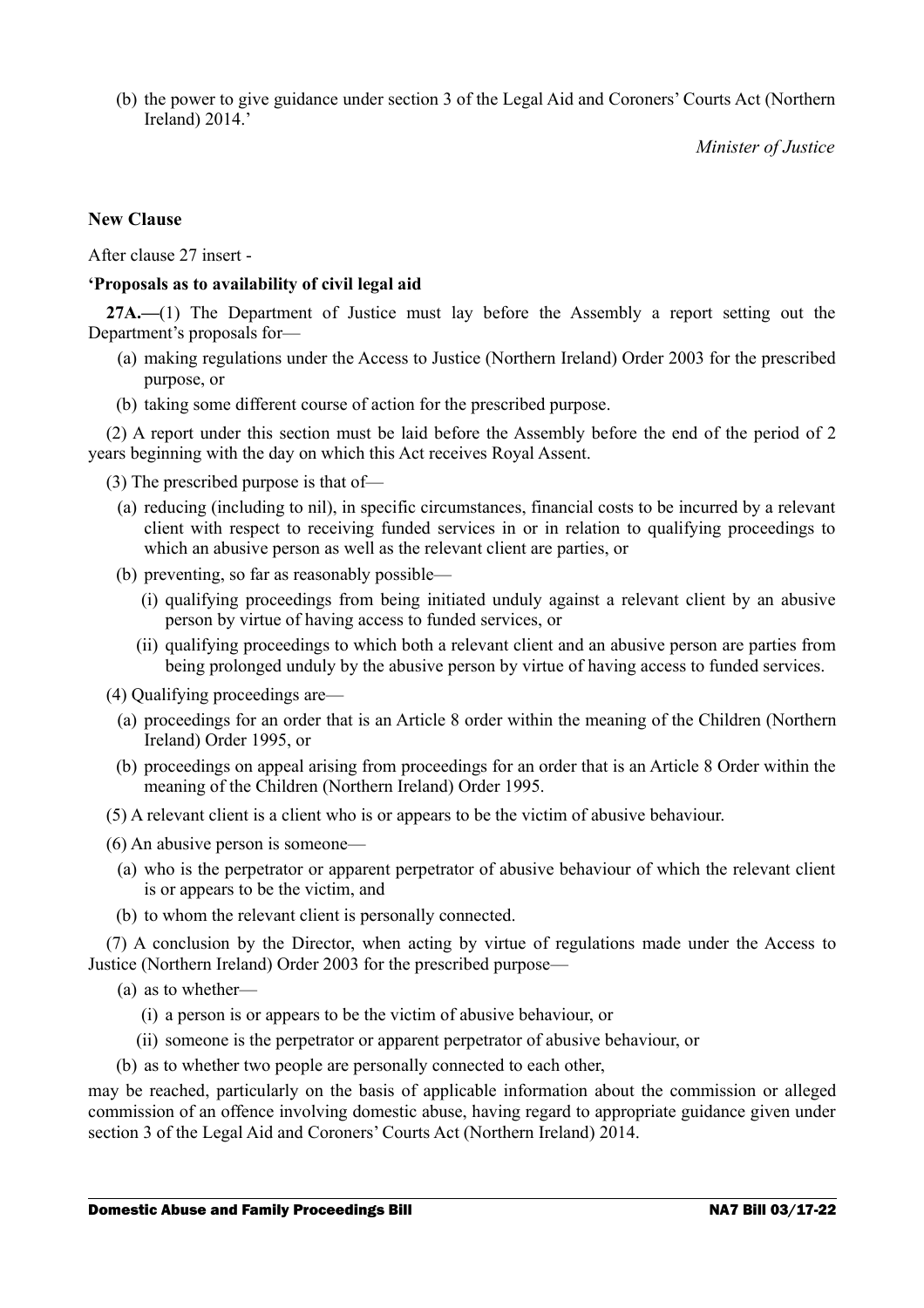(b) the power to give guidance under section 3 of the Legal Aid and Coroners' Courts Act (Northern Ireland) 2014.'

*Minister of Justice*

### **New Clause**

After clause 27 insert -

#### **'Proposals as to availability of civil legal aid**

**27A.—**(1) The Department of Justice must lay before the Assembly a report setting out the Department's proposals for—

- (a) making regulations under the Access to Justice (Northern Ireland) Order 2003 for the prescribed purpose, or
- (b) taking some different course of action for the prescribed purpose.

(2) A report under this section must be laid before the Assembly before the end of the period of 2 years beginning with the day on which this Act receives Royal Assent.

(3) The prescribed purpose is that of—

- (a) reducing (including to nil), in specific circumstances, financial costs to be incurred by a relevant client with respect to receiving funded services in or in relation to qualifying proceedings to which an abusive person as well as the relevant client are parties, or
- (b) preventing, so far as reasonably possible—
	- (i) qualifying proceedings from being initiated unduly against a relevant client by an abusive person by virtue of having access to funded services, or
	- (ii) qualifying proceedings to which both a relevant client and an abusive person are parties from being prolonged unduly by the abusive person by virtue of having access to funded services.

(4) Qualifying proceedings are—

- (a) proceedings for an order that is an Article 8 order within the meaning of the Children (Northern Ireland) Order 1995, or
- (b) proceedings on appeal arising from proceedings for an order that is an Article 8 Order within the meaning of the Children (Northern Ireland) Order 1995.
- (5) A relevant client is a client who is or appears to be the victim of abusive behaviour.

(6) An abusive person is someone—

- (a) who is the perpetrator or apparent perpetrator of abusive behaviour of which the relevant client is or appears to be the victim, and
- (b) to whom the relevant client is personally connected.

(7) A conclusion by the Director, when acting by virtue of regulations made under the Access to Justice (Northern Ireland) Order 2003 for the prescribed purpose—

- (a) as to whether—
	- (i) a person is or appears to be the victim of abusive behaviour, or
	- (ii) someone is the perpetrator or apparent perpetrator of abusive behaviour, or
- (b) as to whether two people are personally connected to each other,

may be reached, particularly on the basis of applicable information about the commission or alleged commission of an offence involving domestic abuse, having regard to appropriate guidance given under section 3 of the Legal Aid and Coroners' Courts Act (Northern Ireland) 2014.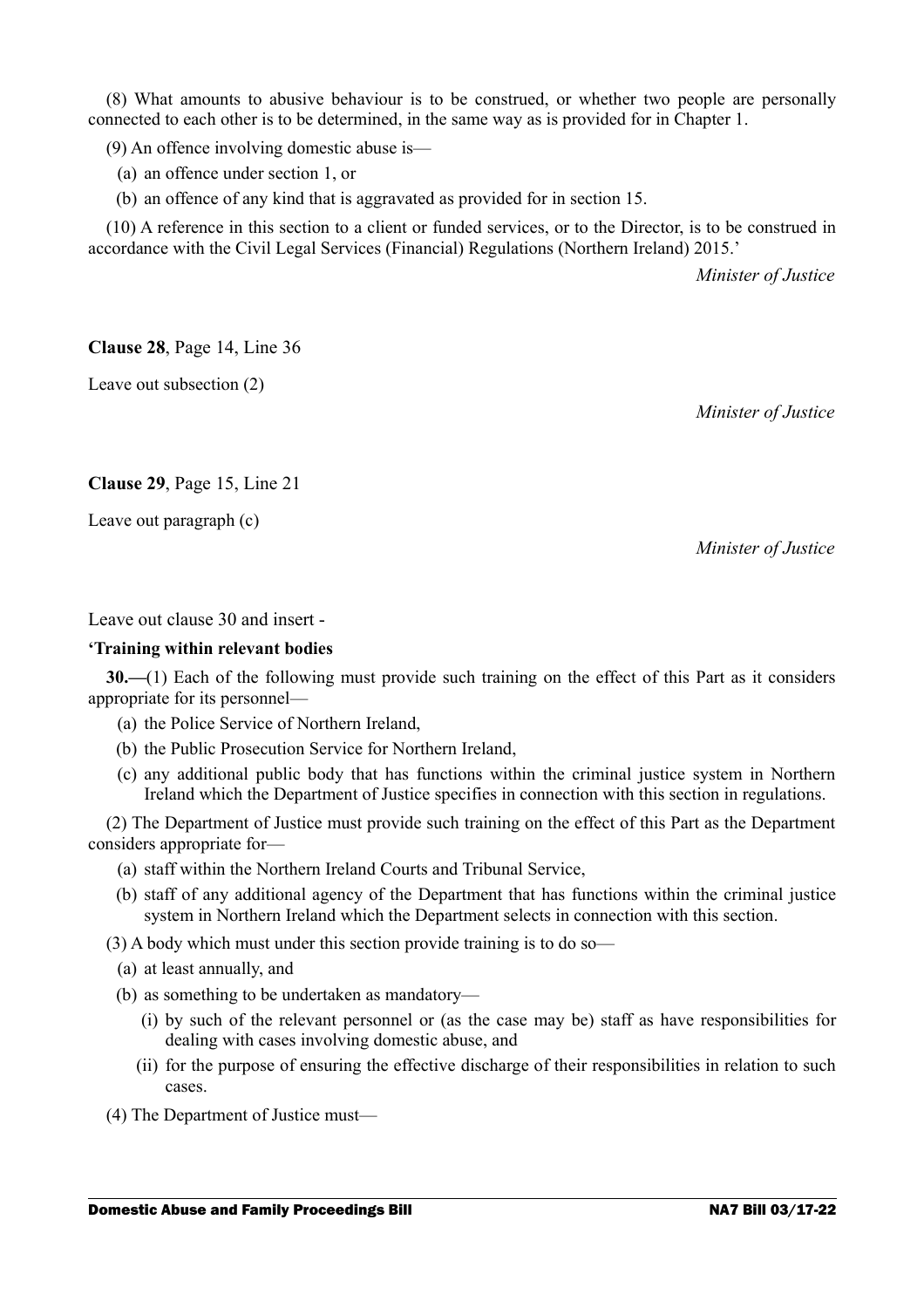(8) What amounts to abusive behaviour is to be construed, or whether two people are personally connected to each other is to be determined, in the same way as is provided for in Chapter 1.

(9) An offence involving domestic abuse is—

(a) an offence under section 1, or

(b) an offence of any kind that is aggravated as provided for in section 15.

(10) A reference in this section to a client or funded services, or to the Director, is to be construed in accordance with the Civil Legal Services (Financial) Regulations (Northern Ireland) 2015.'

*Minister of Justice*

#### **Clause 28**, Page 14, Line 36

Leave out subsection (2)

*Minister of Justice*

# **Clause 29**, Page 15, Line 21

Leave out paragraph (c)

*Minister of Justice*

#### Leave out clause 30 and insert -

#### **'Training within relevant bodies**

**30.—**(1) Each of the following must provide such training on the effect of this Part as it considers appropriate for its personnel—

- (a) the Police Service of Northern Ireland,
- (b) the Public Prosecution Service for Northern Ireland,
- (c) any additional public body that has functions within the criminal justice system in Northern Ireland which the Department of Justice specifies in connection with this section in regulations.

(2) The Department of Justice must provide such training on the effect of this Part as the Department considers appropriate for—

- (a) staff within the Northern Ireland Courts and Tribunal Service,
- (b) staff of any additional agency of the Department that has functions within the criminal justice system in Northern Ireland which the Department selects in connection with this section.

(3) A body which must under this section provide training is to do so—

- (a) at least annually, and
- (b) as something to be undertaken as mandatory—
	- (i) by such of the relevant personnel or (as the case may be) staff as have responsibilities for dealing with cases involving domestic abuse, and
	- (ii) for the purpose of ensuring the effective discharge of their responsibilities in relation to such cases.
- (4) The Department of Justice must—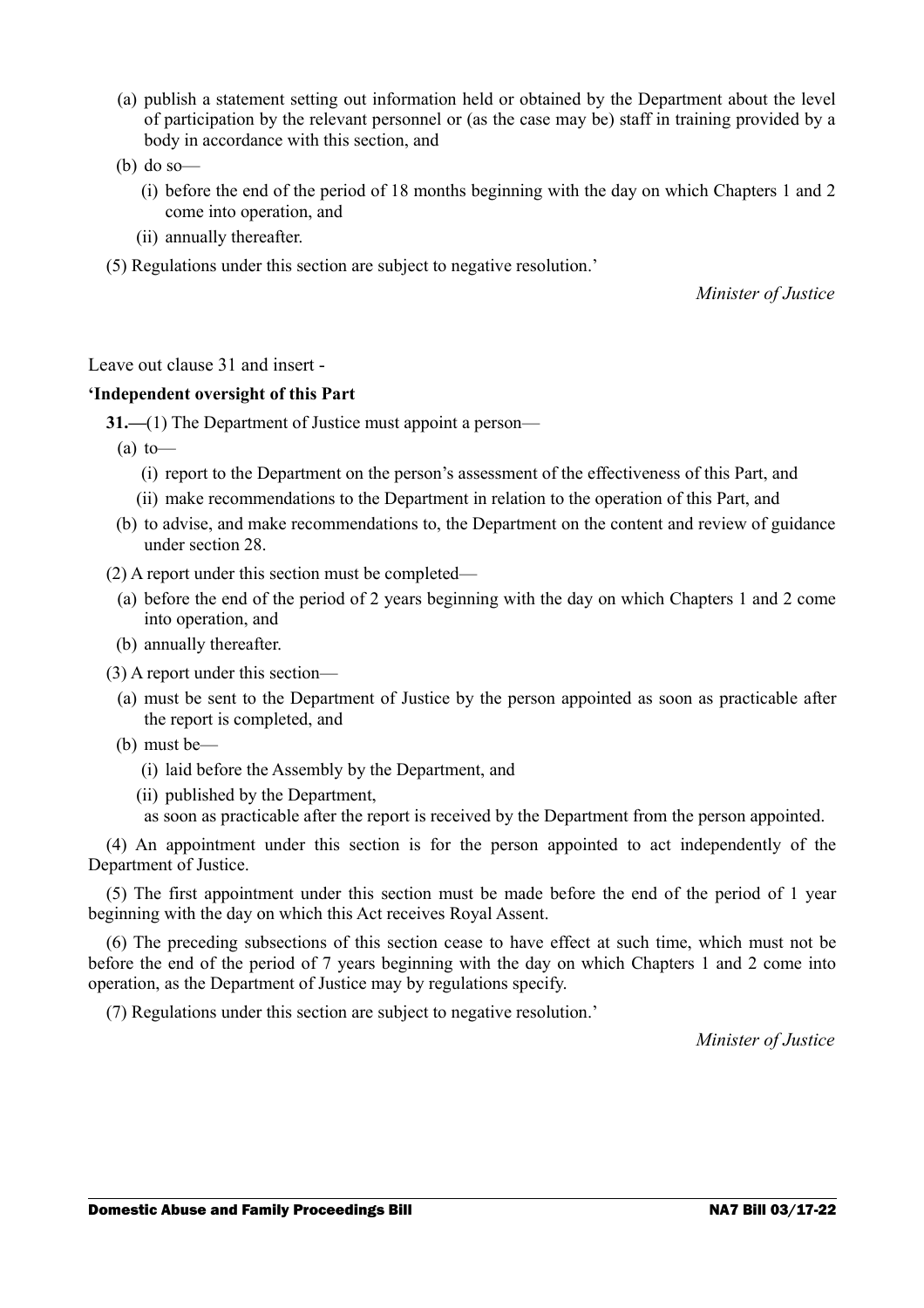- (a) publish a statement setting out information held or obtained by the Department about the level of participation by the relevant personnel or (as the case may be) staff in training provided by a body in accordance with this section, and
- $(b)$  do so
	- (i) before the end of the period of 18 months beginning with the day on which Chapters 1 and 2 come into operation, and
	- (ii) annually thereafter.
- (5) Regulations under this section are subject to negative resolution.'

*Minister of Justice*

#### Leave out clause 31 and insert -

#### **'Independent oversight of this Part**

**31.—(1)** The Department of Justice must appoint a person—

- $(a)$  to
	- (i) report to the Department on the person's assessment of the effectiveness of this Part, and
	- (ii) make recommendations to the Department in relation to the operation of this Part, and
- (b) to advise, and make recommendations to, the Department on the content and review of guidance under section 28.
- (2) A report under this section must be completed—
	- (a) before the end of the period of 2 years beginning with the day on which Chapters 1 and 2 come into operation, and
	- (b) annually thereafter.
- (3) A report under this section—
	- (a) must be sent to the Department of Justice by the person appointed as soon as practicable after the report is completed, and
	- (b) must be—
		- (i) laid before the Assembly by the Department, and
		- (ii) published by the Department,
		- as soon as practicable after the report is received by the Department from the person appointed.

(4) An appointment under this section is for the person appointed to act independently of the Department of Justice.

(5) The first appointment under this section must be made before the end of the period of 1 year beginning with the day on which this Act receives Royal Assent.

(6) The preceding subsections of this section cease to have effect at such time, which must not be before the end of the period of 7 years beginning with the day on which Chapters 1 and 2 come into operation, as the Department of Justice may by regulations specify.

(7) Regulations under this section are subject to negative resolution.'

*Minister of Justice*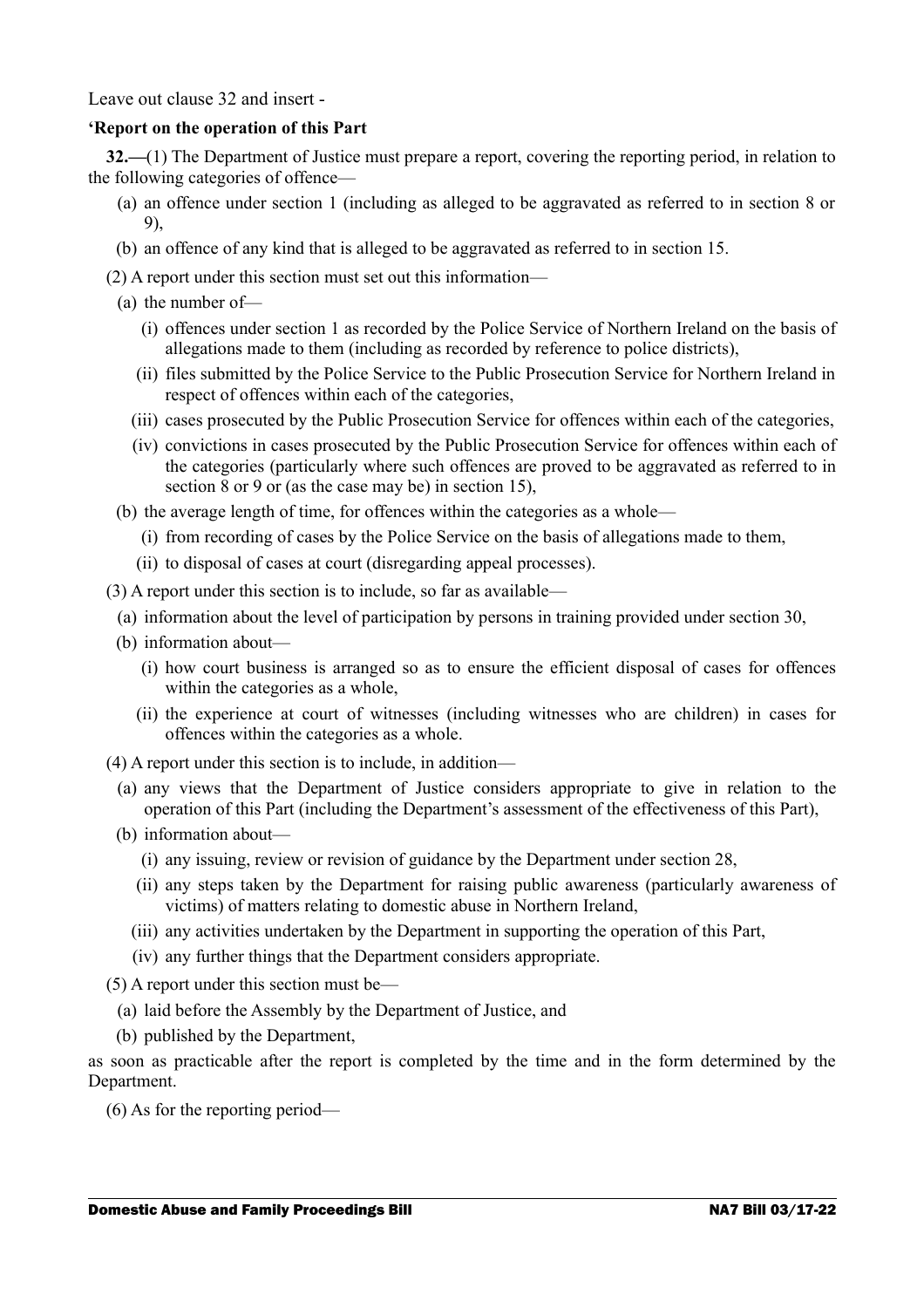Leave out clause 32 and insert -

#### **'Report on the operation of this Part**

**32.—**(1) The Department of Justice must prepare a report, covering the reporting period, in relation to the following categories of offence—

- (a) an offence under section 1 (including as alleged to be aggravated as referred to in section 8 or 9),
- (b) an offence of any kind that is alleged to be aggravated as referred to in section 15.
- (2) A report under this section must set out this information—
	- (a) the number of—
		- (i) offences under section 1 as recorded by the Police Service of Northern Ireland on the basis of allegations made to them (including as recorded by reference to police districts),
		- (ii) files submitted by the Police Service to the Public Prosecution Service for Northern Ireland in respect of offences within each of the categories,
		- (iii) cases prosecuted by the Public Prosecution Service for offences within each of the categories,
		- (iv) convictions in cases prosecuted by the Public Prosecution Service for offences within each of the categories (particularly where such offences are proved to be aggravated as referred to in section 8 or 9 or (as the case may be) in section 15),
	- (b) the average length of time, for offences within the categories as a whole—
		- (i) from recording of cases by the Police Service on the basis of allegations made to them,
		- (ii) to disposal of cases at court (disregarding appeal processes).
- (3) A report under this section is to include, so far as available—
- (a) information about the level of participation by persons in training provided under section 30,
- (b) information about—
	- (i) how court business is arranged so as to ensure the efficient disposal of cases for offences within the categories as a whole,
	- (ii) the experience at court of witnesses (including witnesses who are children) in cases for offences within the categories as a whole.
- (4) A report under this section is to include, in addition—
	- (a) any views that the Department of Justice considers appropriate to give in relation to the operation of this Part (including the Department's assessment of the effectiveness of this Part),
	- (b) information about—
		- (i) any issuing, review or revision of guidance by the Department under section 28,
		- (ii) any steps taken by the Department for raising public awareness (particularly awareness of victims) of matters relating to domestic abuse in Northern Ireland,
		- (iii) any activities undertaken by the Department in supporting the operation of this Part,
		- (iv) any further things that the Department considers appropriate.

(5) A report under this section must be—

- (a) laid before the Assembly by the Department of Justice, and
- (b) published by the Department,

as soon as practicable after the report is completed by the time and in the form determined by the Department.

(6) As for the reporting period—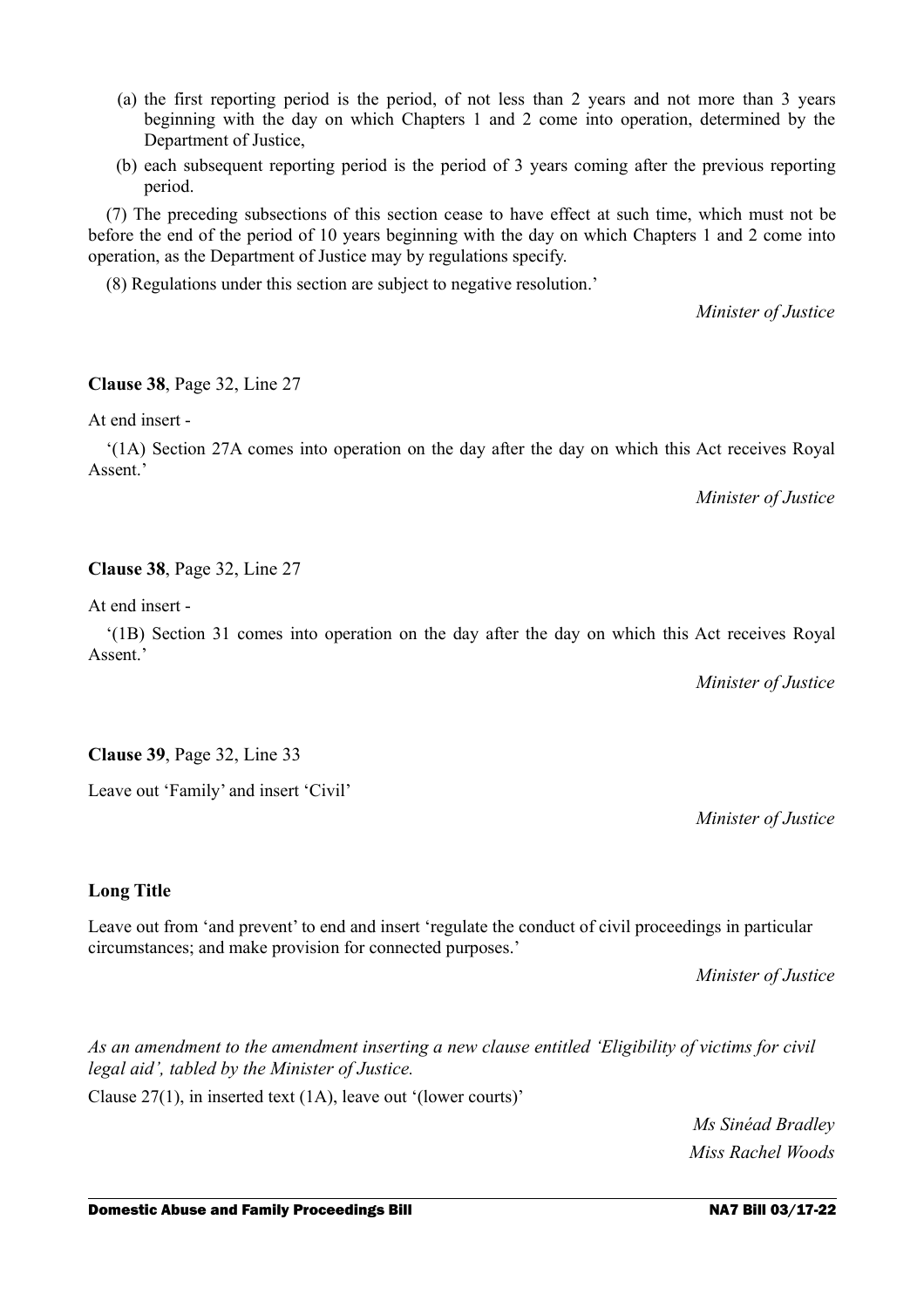- (a) the first reporting period is the period, of not less than 2 years and not more than 3 years beginning with the day on which Chapters 1 and 2 come into operation, determined by the Department of Justice,
- (b) each subsequent reporting period is the period of 3 years coming after the previous reporting period.

(7) The preceding subsections of this section cease to have effect at such time, which must not be before the end of the period of 10 years beginning with the day on which Chapters 1 and 2 come into operation, as the Department of Justice may by regulations specify.

(8) Regulations under this section are subject to negative resolution.'

*Minister of Justice*

# **Clause 38**, Page 32, Line 27

At end insert -

'(1A) Section 27A comes into operation on the day after the day on which this Act receives Royal Assent.'

*Minister of Justice*

# **Clause 38**, Page 32, Line 27

At end insert -

'(1B) Section 31 comes into operation on the day after the day on which this Act receives Royal Assent.'

*Minister of Justice*

# **Clause 39**, Page 32, Line 33

Leave out 'Family' and insert 'Civil'

*Minister of Justice*

# **Long Title**

Leave out from 'and prevent' to end and insert 'regulate the conduct of civil proceedings in particular circumstances; and make provision for connected purposes.'

*Minister of Justice*

*As an amendment to the amendment inserting a new clause entitled 'Eligibility of victims for civil legal aid', tabled by the Minister of Justice.*

Clause 27(1), in inserted text (1A), leave out '(lower courts)'

*Ms Sinéad Bradley Miss Rachel Woods*